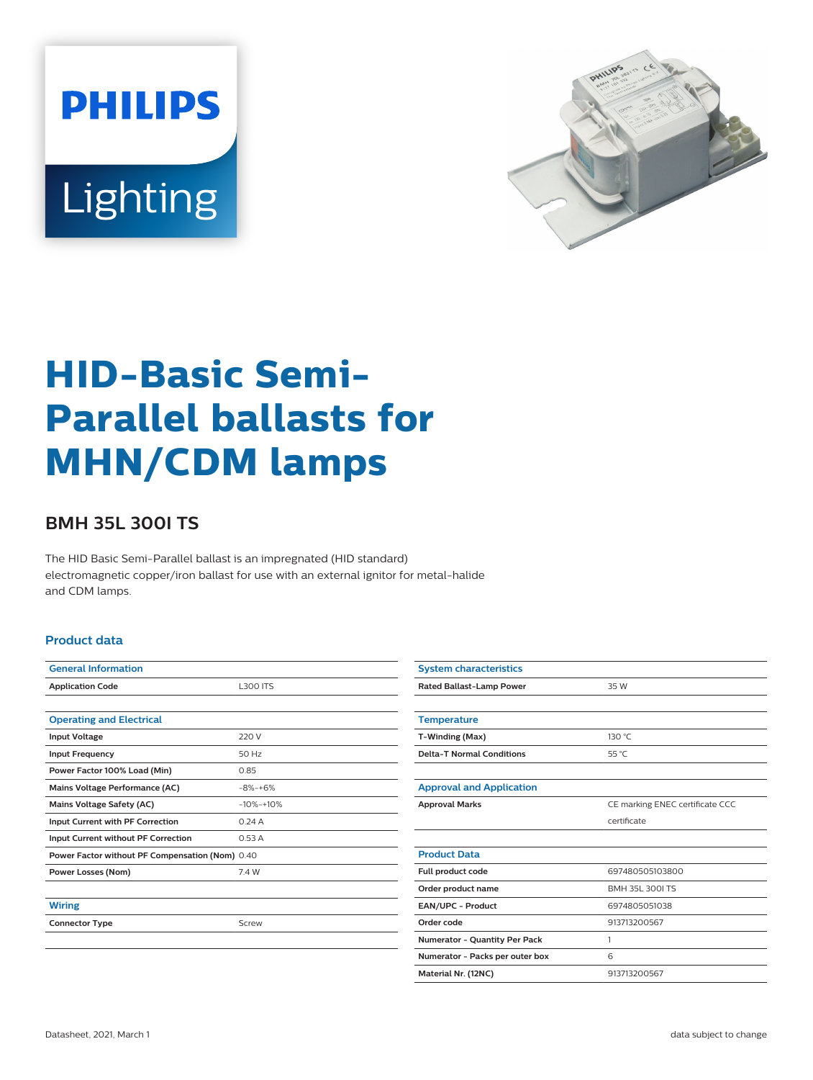



# **HID-Basic Semi-Parallel ballasts for MHN/CDM lamps**

## **BMH 35L 300I TS**

The HID Basic Semi-Parallel ballast is an impregnated (HID standard) electromagnetic copper/iron ballast for use with an external ignitor for metal-halide and CDM lamps.

### **Product data**

| <b>General Information</b>                      |                 |  |  |  |
|-------------------------------------------------|-----------------|--|--|--|
| <b>Application Code</b>                         | <b>L300 ITS</b> |  |  |  |
|                                                 |                 |  |  |  |
| <b>Operating and Electrical</b>                 |                 |  |  |  |
| <b>Input Voltage</b>                            | 220 V           |  |  |  |
| <b>Input Frequency</b>                          | 50 Hz           |  |  |  |
| Power Factor 100% Load (Min)                    | 0.85            |  |  |  |
| Mains Voltage Performance (AC)                  | $-8% -+6%$      |  |  |  |
| Mains Voltage Safety (AC)                       | $-10% -10%$     |  |  |  |
| Input Current with PF Correction                | 0.24A           |  |  |  |
| Input Current without PF Correction             | 0.53A           |  |  |  |
| Power Factor without PF Compensation (Nom) 0.40 |                 |  |  |  |
| Power Losses (Nom)                              | 7.4 W           |  |  |  |
|                                                 |                 |  |  |  |
| <b>Wiring</b>                                   |                 |  |  |  |
| <b>Connector Type</b>                           | Screw           |  |  |  |
|                                                 |                 |  |  |  |
|                                                 |                 |  |  |  |

| <b>System characteristics</b>        |                                 |  |  |
|--------------------------------------|---------------------------------|--|--|
| Rated Ballast-Lamp Power             | 35 W                            |  |  |
|                                      |                                 |  |  |
| <b>Temperature</b>                   |                                 |  |  |
| T-Winding (Max)                      | 130 °C                          |  |  |
| <b>Delta-T Normal Conditions</b>     | 55 °C                           |  |  |
|                                      |                                 |  |  |
| <b>Approval and Application</b>      |                                 |  |  |
| <b>Approval Marks</b>                | CE marking ENEC certificate CCC |  |  |
|                                      | certificate                     |  |  |
|                                      |                                 |  |  |
| <b>Product Data</b>                  |                                 |  |  |
| Full product code                    | 697480505103800                 |  |  |
| Order product name                   | BMH 35L 300LTS                  |  |  |
| EAN/UPC - Product                    | 6974805051038                   |  |  |
| Order code                           | 913713200567                    |  |  |
| <b>Numerator - Quantity Per Pack</b> | 1                               |  |  |
| Numerator - Packs per outer box      | 6                               |  |  |
| Material Nr. (12NC)                  | 913713200567                    |  |  |
|                                      |                                 |  |  |